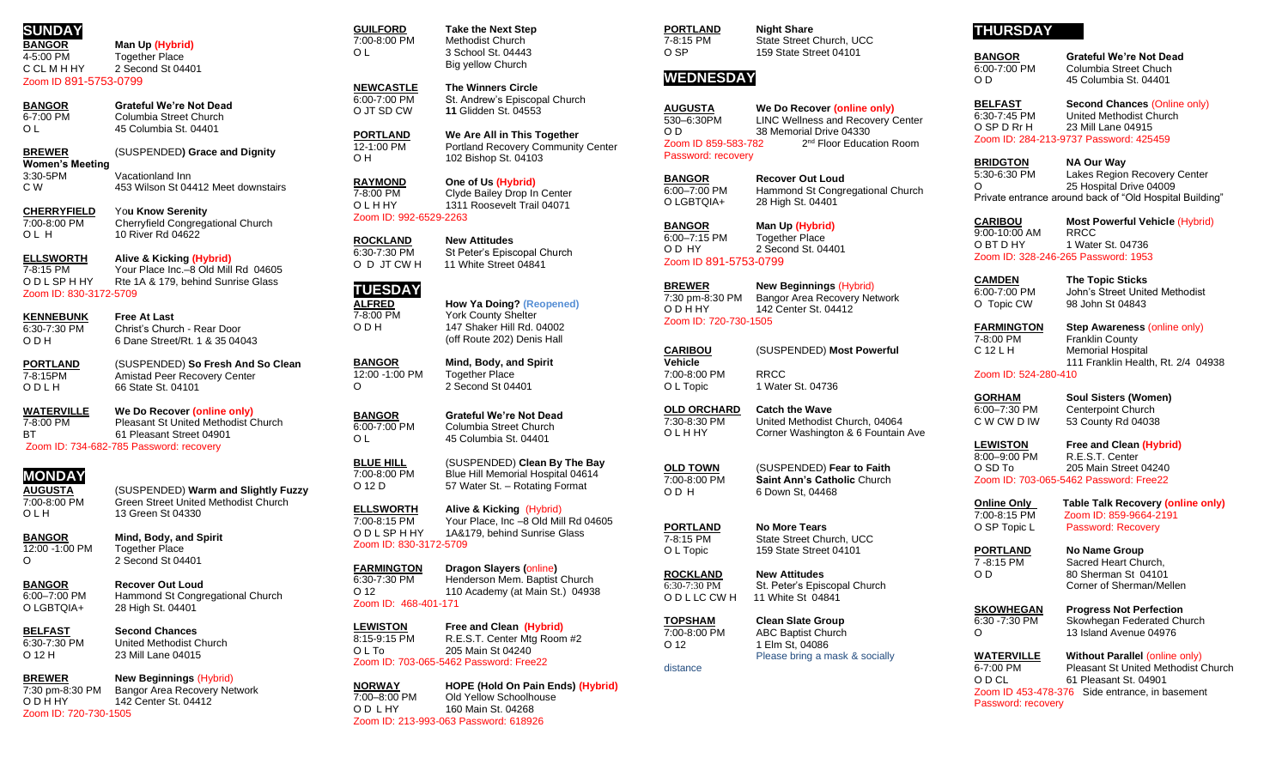# **SUNDAY**

**BANGOR Man Up (Hybrid)** 4-5:00 PM Together Place<br>C.C.I. M H HY 2 Second St 04 2 Second St 04401

Zoom ID 891-5753-0799

**BANGOR Grateful We're Not Dead**<br>6-7:00 PM **Columbia Street Church** 6-7:00 PM Columbia Street Church<br>
Q L 45 Columbia St. 04401 O L 45 Columbia St. 04401

**BREWER** (SUSPENDED**) Grace and Dignity Women's Meeting**

Vacationland Inn C W 453 Wilson St 04412 Meet downstairs

**CHERRYFIELD** Yo**u Know Serenity** 7:00-8:00 PM Cherryfield Congregational Church O L H 10 River Rd 04622

**ELLSWORTH Alive & Kicking (Hybrid)** 7-8:15 PM Your Place Inc.–8 Old Mill Rd 04605 O D L SP H HY Rte 1A & 179, behind Sunrise Glass Zoom ID: 830-3172-5709

**KENNEBUNK Free At Last**  $\overline{6:30-7:30 \text{ PM}}$  Christ's Church - Rear Door<br>O D H 6 Dane Street/Rt. 1 & 35 04 6 Dane Street/Rt. 1 & 35 04043

**PORTLAND** (SUSPENDED) **So Fresh And So Clean** 7-8:15PM Amistad Peer Recovery Center<br>
O D L H 66 State St. 04101 66 State St. 04101

**WATERVILLE We Do Recover (online only)** 7-8:00 PM Pleasant St United Methodist Church<br>BT 61 Pleasant Street 04901 61 Pleasant Street 04901 Zoom ID: 734-682-785 Password: recovery

# **MONDAY**

**AUGUSTA** (SUSPENDED) **Warm and Slightly Fuzzy** 7:00-8:00 PM Green Street United Methodist Church O L H 13 Green St 04330

**BANGOR Mind, Body, and Spirit**<br>12:00 -1:00 PM Together Place  $12:00 - 1:00$  PM O 2 Second St 04401

**BANGOR Recover Out Loud** 6:00–7:00 PM Hammond St Congregational Church<br>
O LGBTOIA+ 28 High St 04401 28 High St. 04401

**BELFAST Second Chances**  $6:30-7:30$  PM United Methodist Church<br>O 12 H 23 Mill Lane 04015 23 Mill Lane 04015

**BREWER New Beginnings** (Hybrid) 7:30 pm-8:30 PM Bangor Area Recovery Network O D H HY 142 Center St. 04412 Zoom ID: 720-730-1505

**GUILFORD Take the Next Step**<br>7:00-8:00 PM Methodist Church Methodist Church O L 3 School St. 04443 Big yellow Church

**NEWCASTLE The Winners Circle** 6:00-7:00 PM St. Andrew's Episcopal Church<br>O JT SD CW 11 Glidden St. 04553 11 Glidden St. 04553

**PORTLAND We Are All in This Together** 12-1:00 PM Portland Recovery Community Center<br>
O H 102 Bishop St. 04103 102 Bishop St. 04103

**RAYMOND One of Us (Hybrid)** 7-8:00 PM Clyde Bailey Drop In Center O L H HY 1311 Roosevelt Trail 04071 Zoom ID: 992-6529-2263

**ROCKLAND New Attitudes** St Peter's Episcopal Church O D JT CW H 11 White Street 04841

### **TUESDAY ALFRED How Ya Doing? (Reopened)**

 $12:00 - 1:00$  PM

7-8:00 PM York County Shelter<br>O D H 147 Shaker Hill Rd. 0 147 Shaker Hill Rd. 04002 (off Route 202) Denis Hall

**BANGOR Mind, Body, and Spirit**<br>12:00 -1:00 PM Together Place O 2 Second St 04401

**BANGOR Grateful We're Not Dead**<br>6:00-7:00 PM Columbia Street Church Columbia Street Church O L 45 Columbia St. 04401

**BLUE HILL** (SUSPENDED) **Clean By The Bay** 7:00-8:00 PM Blue Hill Memorial Hospital 04614 O 12 D 57 Water St. – Rotating Format

**ELLSWORTH Alive & Kicking** (Hybrid) 7:00-8:15 PM Your Place, Inc –8 Old Mill Rd 04605<br>O D L SP H HY 1A&179, behind Sunrise Glass 1A&179, behind Sunrise Glass Zoom ID: 830-3172-5709

**FARMINGTON Dragon Slayers (**online**)** Henderson Mem. Baptist Church O 12 110 Academy (at Main St.) 04938 Zoom ID: 468-401-171

**LEWISTON Free and Clean (Hybrid)**  8:15-9:15 PM R.E.S.T. Center Mtg Room #2<br>O L To 205 Main St 04240 205 Main St 04240 Zoom ID: 703-065-5462 Password: Free22

**NORWAY HOPE (Hold On Pain Ends) (Hybrid)** Old Yellow Schoolhouse O D L HY 160 Main St. 04268 Zoom ID: 213-993-063 Password: 618926

**PORTLAND Night Share**<br>7-8:15 PM State Street ( State Street Church, UCC O SP 159 State Street 04101

## **WEDNESDAY**

**AUGUSTA We Do Recover (online only)** 530–6:30PM LINC Wellness and Recovery Center<br>O.D. 38 Memorial Drive 04330 38 Memorial Drive 04330 Zoom ID 859-583-782 2<sup>nd</sup> Floor Education Room Password: recovery

**BANGOR Recover Out Loud** 6:00–7:00 PM Hammond St Congregational Church O LGBTQIA+ 28 High St. 04401

**BANGOR Man Up (Hybrid)** 6:00–7:15 PM Together Place O D HY 2 Second St. 04401 Zoom ID 891-5753-0799

**BREWER New Beginnings** (Hybrid) 7:30 pm-8:30 PM Bangor Area Recovery Network O D H HY 142 Center St. 04412 Zoom ID: 720-730-1505

**CARIBOU** (SUSPENDED) **Most Powerful Vehicle** 7:00-8:00 PM RRCC O L Topic 1 Water St. 04736

**OLD ORCHARD Catch the Wave** 7:30-8:30 PM United Methodist Church, 04064 O L H HY Corner Washington & 6 Fountain Ave

**OLD TOWN** (SUSPENDED) **Fear to Faith** 7:00-8:00 PM **Saint Ann's Catholic** Church 6 Down St, 04468

**PORTLAND No More Tears**<br>7-8:15 PM State Street Chu State Street Church, UCC O L Topic 159 State Street 04101

**ROCKLAND New Attitudes**<br>6:30-7:30 PM **St. Peter's Epis**  $\overline{6:30-7:30 \text{ PM}}$  St. Peter's Episcopal Church<br>O D L LC CW H 11 White St 04841 11 White St 04841

**TOPSHAM Clean Slate Group**<br>7:00-8:00 PM **ABC Baptist Church** ABC Baptist Church O 12 1 Elm St, 04086 Please bring a mask & socially

distance

# **THURSDAY**

**BANGOR Grateful We're Not Dead** 6:00-7:00 PM Columbia Street Chuch<br>O D 45 Columbia St. 04401 45 Columbia St. 04401

**BELFAST Second Chances** (Online only) 6:30-7:45 PM United Methodist Church<br>O SP D Rr H 23 Mill Lane 04915 23 Mill Lane 04915 Zoom ID: 284-213-9737 Password: 425459

**BRIDGTON NA Our Way**<br>5:30-6:30 PM Lakes Region Lakes Region Recovery Center O 25 Hospital Drive 04009 Private entrance around back of "Old Hospital Building"

**CARIBOU Most Powerful Vehicle** (Hybrid) 9:00-10:00 AM<br>O BT D HY 1 Water St. 04736 Zoom ID: 328-246-265 Password: 1953

**CAMDEN The Topic Sticks** John's Street United Methodist O Topic CW 98 John St 04843

**FARMINGTON Step Awareness (online only)**<br>7-8:00 PM **Franklin County** Franklin County C 12 L H Memorial Hospital 111 Franklin Health, Rt. 2/4 04938

Zoom ID: 524-280-410

**GORHAM Soul Sisters (Women)** 6:00–7:30 PM Centerpoint Church<br>C W CW D IW 53 County Rd 04038 53 County Rd 04038

**LEWISTON Free and Clean (Hybrid)**<br>8:00–9:00 PM R.E.S.T. Center R.E.S.T. Center O SD To 205 Main Street 04240 Zoom ID: 703-065-5462 Password: Free22

**Online Only** Table Talk Recovery (online only)<br>7:00-8:15 PM Zoom ID: 859-9664-2191 Zoom ID: 859-9664-2191 O SP Topic L Password: Recovery

**PORTLAND No Name Group**<br>7-8:15 PM **Sacred Heart Chu** 

Sacred Heart Church. O D 80 Sherman St 04101 Corner of Sherman/Mellen

**SKOWHEGAN Progress Not Perfection**  $\overline{6:30}$  -7:30 PM Skowhegan Federated Church<br>  $\overline{6}$ <br>  $\overline{13}$  Island Avenue 04976 13 Island Avenue 04976

**WATERVILLE** Without Parallel (online only)<br>6-7:00 PM Pleasant St United Methodist ( Pleasant St United Methodist Church O D CL 61 Pleasant St. 04901 Zoom ID 453-478-376 Side entrance, in basement Password: recovery